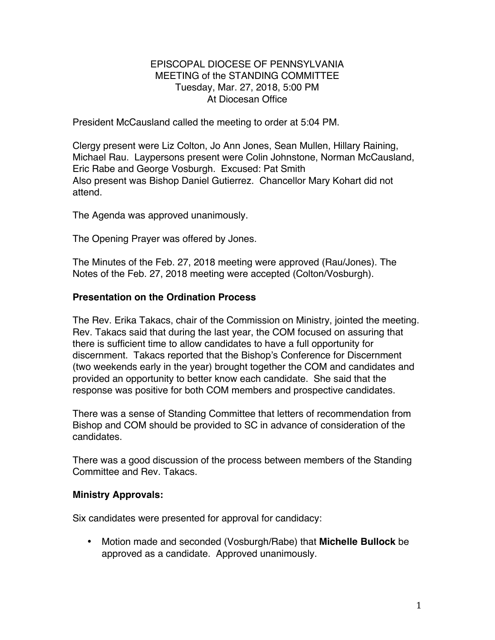### EPISCOPAL DIOCESE OF PENNSYLVANIA MEETING of the STANDING COMMITTEE Tuesday, Mar. 27, 2018, 5:00 PM At Diocesan Office

President McCausland called the meeting to order at 5:04 PM.

Clergy present were Liz Colton, Jo Ann Jones, Sean Mullen, Hillary Raining, Michael Rau. Laypersons present were Colin Johnstone, Norman McCausland, Eric Rabe and George Vosburgh. Excused: Pat Smith Also present was Bishop Daniel Gutierrez. Chancellor Mary Kohart did not attend.

The Agenda was approved unanimously.

The Opening Prayer was offered by Jones.

The Minutes of the Feb. 27, 2018 meeting were approved (Rau/Jones). The Notes of the Feb. 27, 2018 meeting were accepted (Colton/Vosburgh).

## **Presentation on the Ordination Process**

The Rev. Erika Takacs, chair of the Commission on Ministry, jointed the meeting. Rev. Takacs said that during the last year, the COM focused on assuring that there is sufficient time to allow candidates to have a full opportunity for discernment. Takacs reported that the Bishop's Conference for Discernment (two weekends early in the year) brought together the COM and candidates and provided an opportunity to better know each candidate. She said that the response was positive for both COM members and prospective candidates.

There was a sense of Standing Committee that letters of recommendation from Bishop and COM should be provided to SC in advance of consideration of the candidates.

There was a good discussion of the process between members of the Standing Committee and Rev. Takacs.

#### **Ministry Approvals:**

Six candidates were presented for approval for candidacy:

• Motion made and seconded (Vosburgh/Rabe) that **Michelle Bullock** be approved as a candidate. Approved unanimously.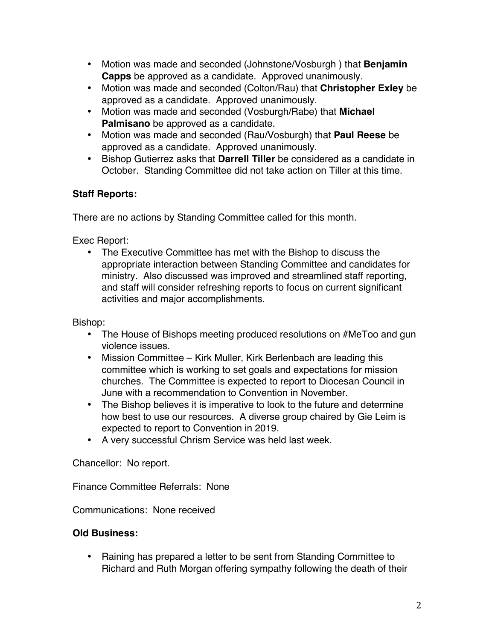- Motion was made and seconded (Johnstone/Vosburgh ) that **Benjamin Capps** be approved as a candidate. Approved unanimously.
- Motion was made and seconded (Colton/Rau) that **Christopher Exley** be approved as a candidate. Approved unanimously.
- Motion was made and seconded (Vosburgh/Rabe) that **Michael Palmisano** be approved as a candidate.
- Motion was made and seconded (Rau/Vosburgh) that **Paul Reese** be approved as a candidate. Approved unanimously.
- Bishop Gutierrez asks that **Darrell Tiller** be considered as a candidate in October. Standing Committee did not take action on Tiller at this time.

# **Staff Reports:**

There are no actions by Standing Committee called for this month.

Exec Report:

• The Executive Committee has met with the Bishop to discuss the appropriate interaction between Standing Committee and candidates for ministry. Also discussed was improved and streamlined staff reporting, and staff will consider refreshing reports to focus on current significant activities and major accomplishments.

Bishop:

- The House of Bishops meeting produced resolutions on #MeToo and gun violence issues.
- Mission Committee Kirk Muller, Kirk Berlenbach are leading this committee which is working to set goals and expectations for mission churches. The Committee is expected to report to Diocesan Council in June with a recommendation to Convention in November.
- The Bishop believes it is imperative to look to the future and determine how best to use our resources. A diverse group chaired by Gie Leim is expected to report to Convention in 2019.
- A very successful Chrism Service was held last week.

Chancellor: No report.

Finance Committee Referrals: None

Communications: None received

# **Old Business:**

• Raining has prepared a letter to be sent from Standing Committee to Richard and Ruth Morgan offering sympathy following the death of their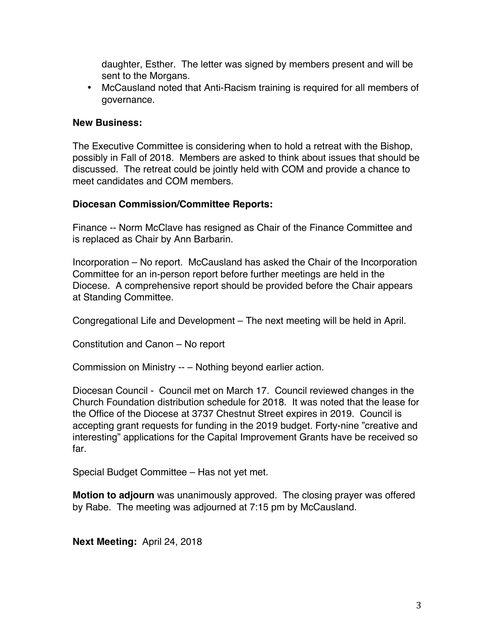daughter, Esther. The letter was signed by members present and will be sent to the Morgans.

• McCausland noted that Anti-Racism training is required for all members of governance.

### **New Business:**

The Executive Committee is considering when to hold a retreat with the Bishop, possibly in Fall of 2018. Members are asked to think about issues that should be discussed. The retreat could be jointly held with COM and provide a chance to meet candidates and COM members.

## **Diocesan Commission/Committee Reports:**

Finance -- Norm McClave has resigned as Chair of the Finance Committee and is replaced as Chair by Ann Barbarin.

Incorporation – No report. McCausland has asked the Chair of the Incorporation Committee for an in-person report before further meetings are held in the Diocese. A comprehensive report should be provided before the Chair appears at Standing Committee.

Congregational Life and Development – The next meeting will be held in April.

Constitution and Canon – No report

Commission on Ministry -- – Nothing beyond earlier action.

Diocesan Council - Council met on March 17. Council reviewed changes in the Church Foundation distribution schedule for 2018. It was noted that the lease for the Office of the Diocese at 3737 Chestnut Street expires in 2019. Council is accepting grant requests for funding in the 2019 budget. Forty-nine "creative and interesting" applications for the Capital Improvement Grants have be received so far.

Special Budget Committee – Has not yet met.

**Motion to adjourn** was unanimously approved. The closing prayer was offered by Rabe. The meeting was adjourned at 7:15 pm by McCausland.

**Next Meeting:** April 24, 2018